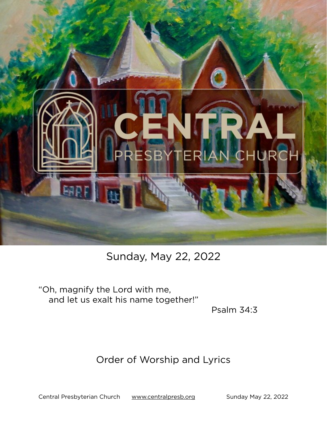

# Sunday, May 22, 2022

"Oh, magnify the Lord with me, and let us exalt his name together!"

Psalm 34:3

# Order of Worship and Lyrics

Central Presbyterian Church [www.centralpresb.org](http://www.centralpresb.org) Sunday May 22, 2022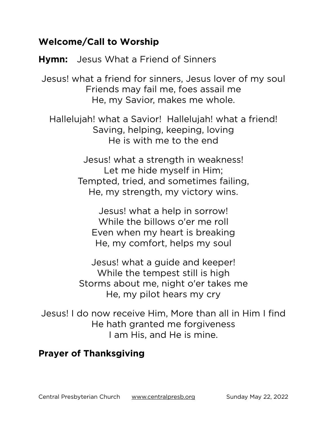# **Welcome/Call to Worship**

**Hymn:** Jesus What a Friend of Sinners

Jesus! what a friend for sinners, Jesus lover of my soul Friends may fail me, foes assail me He, my Savior, makes me whole.

Hallelujah! what a Savior! Hallelujah! what a friend! Saving, helping, keeping, loving He is with me to the end

> Jesus! what a strength in weakness! Let me hide myself in Him; Tempted, tried, and sometimes failing, He, my strength, my victory wins.

Jesus! what a help in sorrow! While the billows o'er me roll Even when my heart is breaking He, my comfort, helps my soul

Jesus! what a guide and keeper! While the tempest still is high Storms about me, night o'er takes me He, my pilot hears my cry

Jesus! I do now receive Him, More than all in Him I find He hath granted me forgiveness I am His, and He is mine.

# **Prayer of Thanksgiving**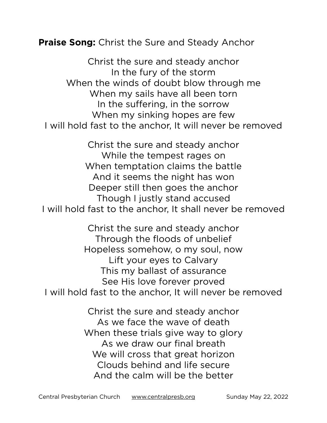#### **Praise Song:** Christ the Sure and Steady Anchor

Christ the sure and steady anchor In the fury of the storm When the winds of doubt blow through me When my sails have all been torn In the suffering, in the sorrow When my sinking hopes are few I will hold fast to the anchor, It will never be removed

Christ the sure and steady anchor While the tempest rages on When temptation claims the battle And it seems the night has won Deeper still then goes the anchor Though I justly stand accused I will hold fast to the anchor, It shall never be removed

Christ the sure and steady anchor Through the floods of unbelief Hopeless somehow, o my soul, now Lift your eyes to Calvary This my ballast of assurance See His love forever proved I will hold fast to the anchor, It will never be removed

> Christ the sure and steady anchor As we face the wave of death When these trials give way to glory As we draw our final breath We will cross that great horizon Clouds behind and life secure And the calm will be the better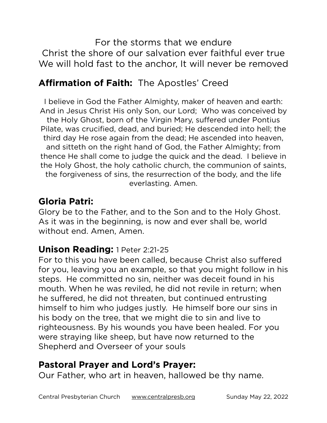For the storms that we endure Christ the shore of our salvation ever faithful ever true We will hold fast to the anchor, It will never be removed

# **Affirmation of Faith:** The Apostles' Creed

I believe in God the Father Almighty, maker of heaven and earth: And in Jesus Christ His only Son, our Lord; Who was conceived by the Holy Ghost, born of the Virgin Mary, suffered under Pontius Pilate, was crucified, dead, and buried; He descended into hell; the third day He rose again from the dead; He ascended into heaven, and sitteth on the right hand of God, the Father Almighty; from thence He shall come to judge the quick and the dead. I believe in the Holy Ghost, the holy catholic church, the communion of saints, the forgiveness of sins, the resurrection of the body, and the life everlasting. Amen.

### **Gloria Patri:**

Glory be to the Father, and to the Son and to the Holy Ghost. As it was in the beginning, is now and ever shall be, world without end. Amen, Amen.

#### **Unison Reading:** 1 Peter 2:21-25

For to this you have been called, because Christ also suffered for you, leaving you an example, so that you might follow in his steps. He committed no sin, neither was deceit found in his mouth. When he was reviled, he did not revile in return; when he suffered, he did not threaten, but continued entrusting himself to him who judges justly. He himself bore our sins in his body on the tree, that we might die to sin and live to righteousness. By his wounds you have been healed. For you were straying like sheep, but have now returned to the Shepherd and Overseer of your souls

#### **Pastoral Prayer and Lord's Prayer:**

Our Father, who art in heaven, hallowed be thy name.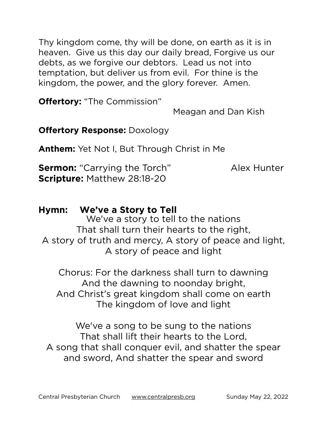Thy kingdom come, thy will be done, on earth as it is in heaven. Give us this day our daily bread, Forgive us our debts, as we forgive our debtors. Lead us not into temptation, but deliver us from evil. For thine is the kingdom, the power, and the glory forever. Amen.

**Offertory:** "The Commission"

Meagan and Dan Kish

**Offertory Response:** Doxology

**Anthem:** Yet Not I, But Through Christ in Me

**Sermon:** "Carrying the Torch" Alex Hunter **Scripture:** Matthew 28:18-20

#### **Hymn: We've a Story to Tell**

We've a story to tell to the nations That shall turn their hearts to the right, A story of truth and mercy, A story of peace and light, A story of peace and light

Chorus: For the darkness shall turn to dawning And the dawning to noonday bright, And Christ's great kingdom shall come on earth The kingdom of love and light

We've a song to be sung to the nations That shall lift their hearts to the Lord, A song that shall conquer evil, and shatter the spear and sword, And shatter the spear and sword